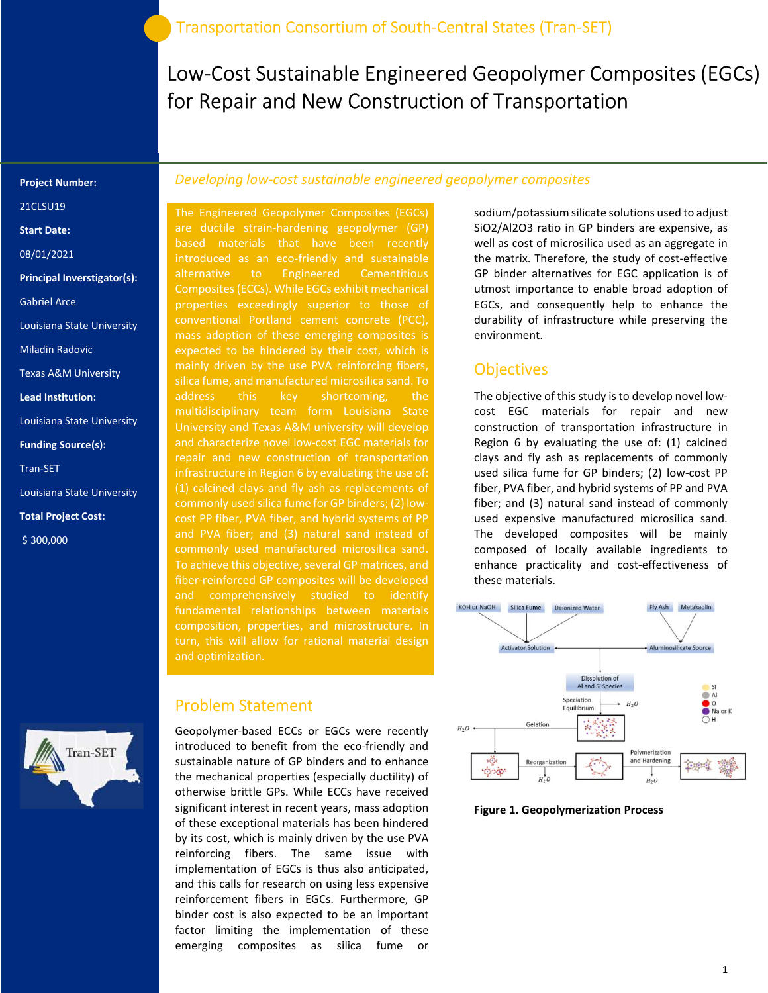Low-Cost Sustainable Engineered Geopolymer Composites (EGCs) for Repair and New Construction of Transportation

#### Project Number:

21CLSU19

Start Date:

08/01/2021

Principal Inverstigator(s):

Gabriel Arce

Louisiana State University

Miladin Radovic

Texas A&M University

Lead Institution:

Louisiana State University

Funding Source(s):

Tran-SET

Louisiana State University

Total Project Cost:

\$ 300,000



### Developing low-cost sustainable engineered geopolymer composites

The Engineered Geopolymer Composites (EGCs) are ductile strain-hardening geopolymer (GP) based materials that have been recently introduced as an eco-friendly and sustainable alternative to Engineered Cementitious properties exceedingly superior to those of conventional Portland cement concrete (PCC), mass adoption of these emerging composites is expected to be hindered by their cost, which is mainly driven by the use PVA reinforcing fibers, silica fume, and manufactured microsilica sand. To address this key shortcoming, the University and Texas A&M university will develop and characterize novel low-cost EGC materials for repair and new construction of transportation infrastructure in Region 6 by evaluating the use of: commonly used silica fume for GP binders; (2) lowand PVA fiber; and (3) natural sand instead of commonly used manufactured microsilica sand. To achieve this objective, several GP matrices, and and comprehensively studied to identify fundamental relationships between materials turn, this will allow for rational material design and optimization.

#### Problem Statement

Geopolymer-based ECCs or EGCs were recently introduced to benefit from the eco-friendly and sustainable nature of GP binders and to enhance the mechanical properties (especially ductility) of otherwise brittle GPs. While ECCs have received significant interest in recent years, mass adoption of these exceptional materials has been hindered by its cost, which is mainly driven by the use PVA reinforcing fibers. The same issue with implementation of EGCs is thus also anticipated, and this calls for research on using less expensive reinforcement fibers in EGCs. Furthermore, GP binder cost is also expected to be an important factor limiting the implementation of these emerging composites as silica fume or

sodium/potassium silicate solutions used to adjust SiO2/Al2O3 ratio in GP binders are expensive, as well as cost of microsilica used as an aggregate in the matrix. Therefore, the study of cost-effective GP binder alternatives for EGC application is of utmost importance to enable broad adoption of EGCs, and consequently help to enhance the durability of infrastructure while preserving the environment.

## **Objectives**

The objective of this study is to develop novel lowcost EGC materials for repair and new construction of transportation infrastructure in Region 6 by evaluating the use of: (1) calcined clays and fly ash as replacements of commonly used silica fume for GP binders; (2) low-cost PP fiber, PVA fiber, and hybrid systems of PP and PVA fiber; and (3) natural sand instead of commonly used expensive manufactured microsilica sand. The developed composites will be mainly composed of locally available ingredients to enhance practicality and cost-effectiveness of these materials.



Figure 1. Geopolymerization Process